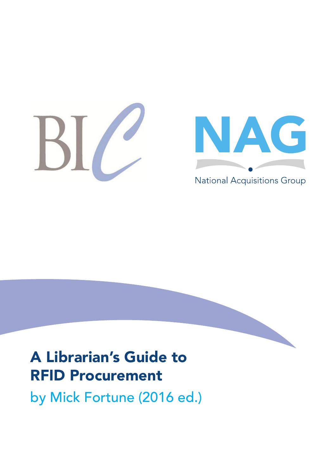



# A Librarian's Guide to RFID Procurement

by Mick Fortune (2016 ed.)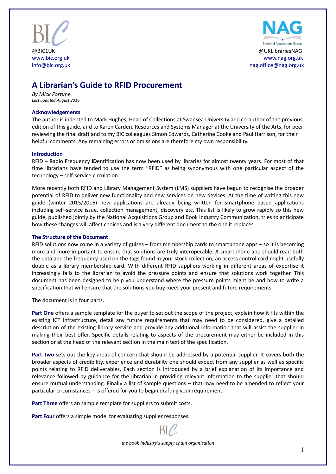



# **A Librarian's Guide to RFID Procurement**

*By Mick Fortune Last updated August 2016*

#### **Acknowledgements**

The author is indebted to Mark Hughes, Head of Collections at Swansea University and co-author of the previous edition of this guide, and to Karen Carden, Resources and Systems Manager at the University of the Arts, for peer reviewing the final draft and to my BIC colleagues Simon Edwards, Catherine Cooke and Paul Harrison, for their helpful comments. Any remaining errors or omissions are therefore my own responsibility.

#### **Introduction**

RFID – **R**adio **F**requency **ID**entification has now been used by libraries for almost twenty years. For most of that time librarians have tended to use the term "RFID" as being synonymous with one particular aspect of the technology – self-service circulation.

More recently both RFID and Library Management System (LMS) suppliers have begun to recognise the broader potential of RFID to deliver new functionality and new services on new devices. At the time of writing this new guide (winter 2015/2016) new applications are already being written for smartphone based applications including self-service issue, collection management, discovery etc. This list is likely to grow rapidly so this new guide, published jointly by the National Acquisitions Group and Book Industry Communication, tries to anticipate how these changes will affect choices and is a very different document to the one it replaces.

#### **The Structure of the Document**

RFID solutions now come in a variety of guises – from membership cards to smartphone apps – so it is becoming more and more important to ensure that solutions are truly interoperable. A smartphone app should read both the data and the frequency used on the tags found in your stock collection; an access control card might usefully double as a library membership card. With different RFID suppliers working in different areas of expertise it increasingly falls to the librarian to avoid the pressure points and ensure that solutions work together. This document has been designed to help you understand where the pressure points might be and how to write a specification that will ensure that the solutions you buy meet your present and future requirements.

The document is in four parts.

**Part One** offers a sample template for the buyer to set out the scope of the project, explain how it fits within the existing ICT infrastructure, detail any future requirements that may need to be considered, give a detailed description of the existing library service and provide any additional information that will assist the supplier in making their best offer. Specific details relating to aspects of the procurement may either be included in this section or at the head of the relevant section in the main text of the specification.

**Part Two** sets out the key areas of concern that should be addressed by a potential supplier. It covers both the broader aspects of credibility, experience and durability one should expect from any supplier as well as specific points relating to RFID deliverables. Each section is introduced by a brief explanation of its importance and relevance followed by guidance for the librarian in providing relevant information to the supplier that should ensure mutual understanding. Finally a list of sample questions – that may need to be amended to reflect your particular circumstances – is offered for you to begin drafting your requirement.

**Part Three** offers an sample template for suppliers to submit costs.

Part Four offers a simple model for evaluating supplier responses.

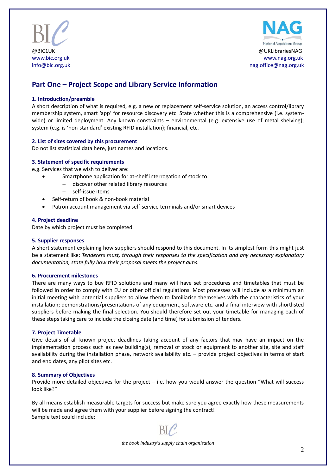



# **Part One – Project Scope and Library Service Information**

#### **1. Introduction/preamble**

A short description of what is required, e.g. a new or replacement self-service solution, an access control/library membership system, smart 'app' for resource discovery etc. State whether this is a comprehensive (i.e. systemwide) or limited deployment. Any known constraints – environmental (e.g. extensive use of metal shelving); system (e.g. is 'non-standard' existing RFID installation); financial, etc.

#### **2. List of sites covered by this procurement**

Do not list statistical data here, just names and locations.

#### **3. Statement of specific requirements**

e.g. Services that we wish to deliver are:

- Smartphone application for at-shelf interrogation of stock to:
	- discover other related library resources
		- self-issue items
- Self-return of book & non-book material
- Patron account management via self-service terminals and/or smart devices

#### **4. Project deadline**

Date by which project must be completed.

#### **5. Supplier responses**

A short statement explaining how suppliers should respond to this document. In its simplest form this might just be a statement like: *Tenderers must, through their responses to the specification and any necessary explanatory documentation, state fully how their proposal meets the project aims.*

#### **6. Procurement milestones**

There are many ways to buy RFID solutions and many will have set procedures and timetables that must be followed in order to comply with EU or other official regulations. Most processes will include as a minimum an initial meeting with potential suppliers to allow them to familiarise themselves with the characteristics of your installation; demonstrations/presentations of any equipment, software etc. and a final interview with shortlisted suppliers before making the final selection. You should therefore set out your timetable for managing each of these steps taking care to include the closing date (and time) for submission of tenders.

#### **7. Project Timetable**

Give details of all known project deadlines taking account of any factors that may have an impact on the implementation process such as new building(s), removal of stock or equipment to another site, site and staff availability during the installation phase, network availability etc. – provide project objectives in terms of start and end dates, any pilot sites etc.

#### **8. Summary of Objectives**

Provide more detailed objectives for the project – i.e. how you would answer the question "What will success look like?"

By all means establish measurable targets for success but make sure you agree exactly how these measurements will be made and agree them with your supplier before signing the contract! Sample text could include:



*the book industry's supply chain organisation*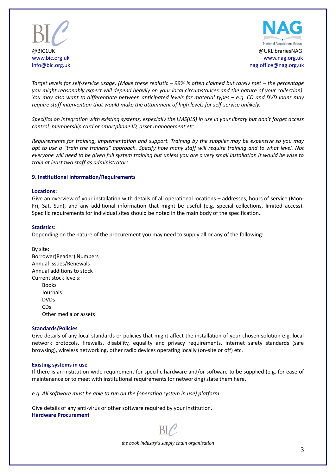



*Target levels for self-service usage. (Make these realistic – 99% is often claimed but rarely met – the percentage you might reasonably expect will depend heavily on your local circumstances and the nature of your collection). You may also want to differentiate between anticipated levels for material types – e.g. CD and DVD loans may require staff intervention that would make the attainment of high levels for self-service unlikely.*

*Specifics on integration with existing systems, especially the LMS(ILS) in use in your library but don't forget access control, membership card or smartphone ID, asset management etc.*

*Requirements for training, implementation and support. Training by the supplier may be expensive so you may opt to use a "train the trainers" approach. Specify how many staff will require training and to what level. Not everyone will need to be given full system training but unless you are a very small installation it would be wise to train at least two staff as administrators.* 

#### **9. Institutional Information/Requirements**

#### **Locations:**

Give an overview of your installation with details of all operational locations – addresses, hours of service (Mon-Fri, Sat, Sun), and any additional information that might be useful (e.g. special collections, limited access). Specific requirements for individual sites should be noted in the main body of the specification.

#### **Statistics:**

Depending on the nature of the procurement you may need to supply all or any of the following:

By site: Borrower(Reader) Numbers Annual Issues/Renewals Annual additions to stock Current stock levels: Books

> Journals DVDs CDs Other media or assets

#### **Standards/Policies**

Give details of any local standards or policies that might affect the installation of your chosen solution e.g. local network protocols, firewalls, disability, equality and privacy requirements, internet safety standards (safe browsing), wireless networking, other radio devices operating locally (on-site or off) etc.

#### **Existing systems in use**

If there is an institution-wide requirement for specific hardware and/or software to be supplied (e.g. for ease of maintenance or to meet with institutional requirements for networking) state them here.

*e.g. All software must be able to run on the (operating system in use) platform.*

Give details of any anti-virus or other software required by your institution. **Hardware Procurement**

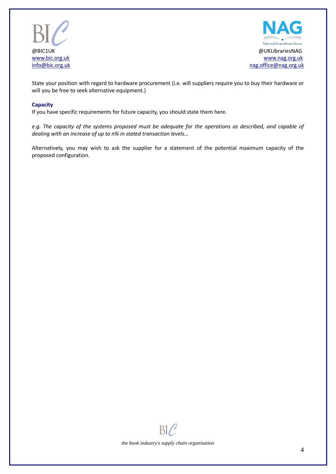



State your position with regard to hardware procurement (i.e. will suppliers require you to buy their hardware or will you be free to seek alternative equipment.)

#### **Capacity**

If you have specific requirements for future capacity, you should state them here.

*e.g. The capacity of the systems proposed must be adequate for the operations as described, and capable of dealing with an increase of up to n% in stated transaction levels...*

Alternatively, you may wish to ask the supplier for a statement of the potential maximum capacity of the proposed configuration.

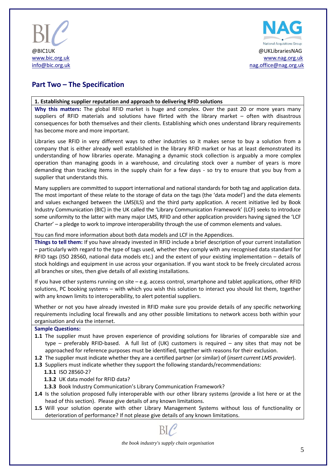



# **Part Two – The Specification**

#### **1. Establishing supplier reputation and approach to delivering RFID solutions**

**Why this matters:** The global RFID market is huge and complex. Over the past 20 or more years many suppliers of RFID materials and solutions have flirted with the library market – often with disastrous consequences for both themselves and their clients. Establishing which ones understand library requirements has become more and more important.

Libraries use RFID in very different ways to other industries so it makes sense to buy a solution from a company that is either already well established in the library RFID market or has at least demonstrated its understanding of how libraries operate. Managing a dynamic stock collection is arguably a more complex operation than managing goods in a warehouse, and circulating stock over a number of years is more demanding than tracking items in the supply chain for a few days - so try to ensure that you buy from a supplier that understands this.

Many suppliers are committed to support international and national standards for both tag and application data. The most important of these relate to the storage of data on the tags (the 'data model') and the data elements and values exchanged between the LMS(ILS) and the third party application. A recent initiative led by Book Industry Communication (BIC) in the UK called the 'Library Communication Framework' (LCF) seeks to introduce some uniformity to the latter with many major LMS, RFID and other application providers having signed the 'LCF Charter' – a pledge to work to improve interoperability through the use of common elements and values.

You can find more information about both data models and LCF in the Appendices.

**Things to tell them:** If you have already invested in RFID include a brief description of your current installation – particularly with regard to the type of tags used, whether they comply with any recognised data standard for RFID tags (ISO 28560, national data models etc.) and the extent of your existing implementation – details of stock holdings and equipment in use across your organisation. If you want stock to be freely circulated across all branches or sites, then give details of all existing installations.

If you have other systems running on site – e.g. access control, smartphone and tablet applications, other RFID solutions, PC booking systems – with which you wish this solution to interact you should list them, together with any known limits to interoperability, to alert potential suppliers.

Whether or not you have already invested in RFID make sure you provide details of any specific networking requirements including local firewalls and any other possible limitations to network access both within your organisation and via the internet.

#### **Sample Questions:**

- **1.1** The supplier must have proven experience of providing solutions for libraries of comparable size and type – preferably RFID-based. A full list of (UK) customers is required – any sites that may not be approached for reference purposes must be identified, together with reasons for their exclusion.
- **1.2** The supplier must indicate whether they are a certified partner (or similar) of (*insert current LMS provider*).
- **1.3** Suppliers must indicate whether they support the following standards/recommendations:
	- **1.3.1** ISO 28560-2?
		- **1.3.2** UK data model for RFID data?
		- **1.3.3** Book Industry Communication's Library Communication Framework?
- **1.4** Is the solution proposed fully interoperable with our other library systems (provide a list here or at the head of this section). Please give details of any known limitations.
- **1.5** Will your solution operate with other Library Management Systems without loss of functionality or deterioration of performance? If not please give details of any known limitations.



*the book industry's supply chain organisation*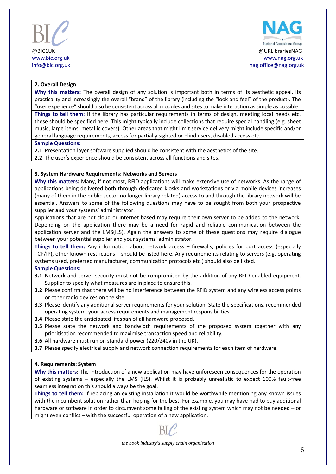



#### **2. Overall Design**

**Why this matters:** The overall design of any solution is important both in terms of its aesthetic appeal, its practicality and increasingly the overall "brand" of the library (including the "look and feel" of the product). The "user experience" should also be consistent across all modules and sites to make interaction as simple as possible.

**Things to tell them:** If the library has particular requirements in terms of design, meeting local needs etc. these should be specified here. This might typically include collections that require special handling (e.g. sheet music, large items, metallic covers). Other areas that might limit service delivery might include specific and/or general language requirements, access for partially sighted or blind users, disabled access etc.

#### **Sample Questions:**

**2.1** Presentation layer software supplied should be consistent with the aesthetics of the site.

**2.2** The user's experience should be consistent across all functions and sites.

#### **3. System Hardware Requirements: Networks and Servers**

**Why this matters:** Many, if not most, RFID applications will make extensive use of networks. As the range of applications being delivered both through dedicated kiosks and workstations or via mobile devices increases (many of them in the public sector no longer library related) access to and through the library network will be essential. Answers to some of the following questions may have to be sought from both your prospective supplier **and** your systems' administrator.

Applications that are not cloud or internet based may require their own server to be added to the network. Depending on the application there may be a need for rapid and reliable communication between the application server and the LMS(ILS). Again the answers to some of these questions may require dialogue between your potential supplier and your systems' administrator.

**Things to tell them:** Any information about network access – firewalls, policies for port access (especially TCP/IP), other known restrictions – should be listed here. Any requirements relating to servers (e.g. operating systems used, preferred manufacturer, communication protocols etc.) should also be listed.

#### **Sample Questions:**

- **3.1** Network and server security must not be compromised by the addition of any RFID enabled equipment. Supplier to specify what measures are in place to ensure this.
- **3.2** Please confirm that there will be no interference between the RFID system and any wireless access points or other radio devices on the site.
- **3.3** Please identify any additional server requirements for your solution. State the specifications, recommended operating system, your access requirements and management responsibilities.
- **3.4** Please state the anticipated lifespan of all hardware proposed.
- **3.5** Please state the network and bandwidth requirements of the proposed system together with any prioritisation recommended to maximise transaction speed and reliability.
- **3.6** All hardware must run on standard power (220/240v in the UK).
- **3.7** Please specify electrical supply and network connection requirements for each item of hardware.

#### **4. Requirements: System**

**Why this matters:** The introduction of a new application may have unforeseen consequences for the operation of existing systems – especially the LMS (ILS). Whilst it is probably unrealistic to expect 100% fault-free seamless integration this should always be the goal.

**Things to tell them:** If replacing an existing installation it would be worthwhile mentioning any known issues with the incumbent solution rather than hoping for the best. For example, you may have had to buy additional hardware or software in order to circumvent some failing of the existing system which may not be needed – or might even conflict – with the successful operation of a new application.

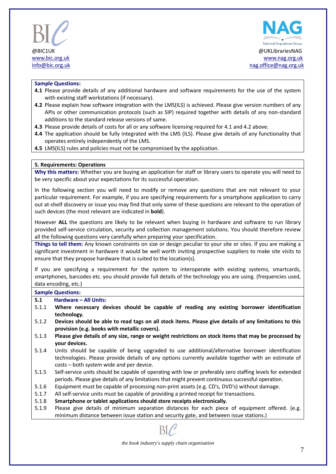



#### **Sample Questions:**

- **4.1** Please provide details of any additional hardware and software requirements for the use of the system with existing staff workstations (if necessary).
- **4.2** Please explain how software integration with the LMS(ILS) is achieved. Please give version numbers of any APIs or other communication protocols (such as SIP) required together with details of any non-standard additions to the standard release versions of same.
- **4.3** Please provide details of costs for all or any software licensing required for 4.1 and 4.2 above.
- **4.4** The application should be fully integrated with the LMS (ILS). Please give details of any functionality that operates entirely independently of the LMS.
- **4.5** LMS(ILS) rules and policies must not be compromised by the application.

#### **5. Requirements: Operations**

**Why this matters:** Whether you are buying an application for staff or library users to operate you will need to be very specific about your expectations for its successful operation.

In the following section you will need to modify or remove any questions that are not relevant to your particular requirement. For example, if you are specifying requirements for a smartphone application to carry out at-shelf discovery or issue you may find that only some of these questions are relevant to the operation of such devices (the most relevant are indicated in **bold**).

However **ALL** the questions are likely to be relevant when buying in hardware and software to run library provided self-service circulation, security and collection management solutions. You should therefore review all the following questions very carefully when preparing your specification.

**Things to tell them:** Any known constraints on size or design peculiar to your site or sites. If you are making a significant investment in hardware it would be well worth inviting prospective suppliers to make site visits to ensure that they propose hardware that is suited to the location(s).

If you are specifying a requirement for the system to interoperate with existing systems, smartcards, smartphones, barcodes etc. you should provide full details of the technology you are using. (frequencies used, data encoding, etc.)

#### **Sample Questions:**

#### **5.1 Hardware – All Units:**

- 5.1.1 **Where necessary devices should be capable of reading any existing borrower identification technology.**
- 5.1.2 **Devices should be able to read tags on all stock items. Please give details of any limitations to this provision (e.g. books with metallic covers).**
- 5.1.3 **Please give details of any size, range or weight restrictions on stock items that may be processed by your devices.**
- 5.1.4 Units should be capable of being upgraded to use additional/alternative borrower identification technologies. Please provide details of any options currently available together with an estimate of costs – both system wide and per device.
- 5.1.5 Self-service units should be capable of operating with low or preferably zero staffing levels for extended periods. Please give details of any limitations that might prevent continuous successful operation.
- 5.1.6 Equipment must be capable of processing non-print assets (e.g. CD's, DVD's) without damage.
- 5.1.7 All self-service units must be capable of providing a printed receipt for transactions.
- 5.1.8 **Smartphone or tablet applications should store receipts electronically.**
- 5.1.9 Please give details of minimum separation distances for each piece of equipment offered. (e.g. minimum distance between issue station and security gate, and between issue stations.)

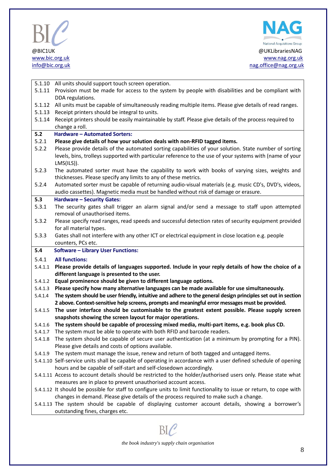



| 5.1.10       | All units should support touch screen operation.                                                                                      |
|--------------|---------------------------------------------------------------------------------------------------------------------------------------|
| 5.1.11       | Provision must be made for access to the system by people with disabilities and be compliant with                                     |
|              | DDA regulations.                                                                                                                      |
| 5.1.12       | All units must be capable of simultaneously reading multiple items. Please give details of read ranges.                               |
| 5.1.13       | Receipt printers should be integral to units.                                                                                         |
| 5.1.14       | Receipt printers should be easily maintainable by staff. Please give details of the process required to                               |
|              | change a roll.                                                                                                                        |
| 5.2          | <b>Hardware - Automated Sorters:</b>                                                                                                  |
| 5.2.1        | Please give details of how your solution deals with non-RFID tagged items.                                                            |
| 5.2.2        | Please provide details of the automated sorting capabilities of your solution. State number of sorting                                |
|              | levels, bins, trolleys supported with particular reference to the use of your systems with (name of your                              |
|              | $LMS(ILS)$ ).                                                                                                                         |
| 5.2.3        | The automated sorter must have the capability to work with books of varying sizes, weights and                                        |
|              | thicknesses. Please specify any limits to any of these metrics.                                                                       |
| 5.2.4        | Automated sorter must be capable of returning audio-visual materials (e.g. music CD's, DVD's, videos,                                 |
|              | audio cassettes). Magnetic media must be handled without risk of damage or erasure.                                                   |
| 5.3<br>5.3.1 | <b>Hardware - Security Gates:</b><br>The security gates shall trigger an alarm signal and/or send a message to staff upon attempted   |
|              | removal of unauthorised items.                                                                                                        |
| 5.3.2        | Please specify read ranges, read speeds and successful detection rates of security equipment provided                                 |
|              | for all material types.                                                                                                               |
| 5.3.3        | Gates shall not interfere with any other ICT or electrical equipment in close location e.g. people                                    |
|              | counters, PCs etc.                                                                                                                    |
|              |                                                                                                                                       |
| 5.4          | <b>Software - Library User Functions:</b>                                                                                             |
| 5.4.1        | <b>All functions:</b>                                                                                                                 |
| 5.4.1.1      | Please provide details of languages supported. Include in your reply details of how the choice of a                                   |
| 5.4.1.2      | different language is presented to the user.<br>Equal prominence should be given to different language options.                       |
| 5.4.1.3      | Please specify how many alternative languages can be made available for use simultaneously.                                           |
| 5.4.1.4      | The system should be user friendly, intuitive and adhere to the general design principles set out in section                          |
|              | 2 above. Context-sensitive help screens, prompts and meaningful error messages must be provided.                                      |
| 5.4.1.5      | The user interface should be customisable to the greatest extent possible. Please supply screen                                       |
|              | snapshots showing the screen layout for major operations.                                                                             |
| 5.4.1.6      | The system should be capable of processing mixed media, multi-part items, e.g. book plus CD.                                          |
|              | 5.4.1.7 The system must be able to operate with both RFID and barcode readers.                                                        |
| 5.4.1.8      | The system should be capable of secure user authentication (at a minimum by prompting for a PIN).                                     |
|              | Please give details and costs of options available.                                                                                   |
| 5.4.1.9      | The system must manage the issue, renew and return of both tagged and untagged items.                                                 |
|              | 5.4.1.10 Self-service units shall be capable of operating in accordance with a user defined schedule of opening                       |
|              | hours and be capable of self-start and self-closedown accordingly.                                                                    |
|              | 5.4.1.11 Access to account details should be restricted to the holder/authorised users only. Please state what                        |
|              | measures are in place to prevent unauthorised account access.                                                                         |
|              | 5.4.1.12 It should be possible for staff to configure units to limit functionality to issue or return, to cope with                   |
|              | changes in demand. Please give details of the process required to make such a change.                                                 |
|              | 5.4.1.13 The system should be capable of displaying customer account details, showing a borrower's<br>outstanding fines, charges etc. |



 $\text{BIC}$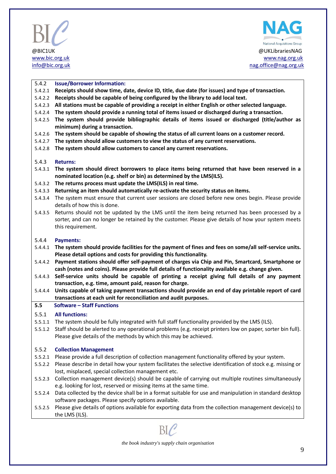



#### 5.4.2 **Issue/Borrower Information:**

- 5.4.2.1 **Receipts should show time, date, device ID, title, due date (for issues) and type of transaction.**
- 5.4.2.2 **Receipts should be capable of being configured by the library to add local text.**
- 5.4.2.3 **All stations must be capable of providing a receipt in either English or other selected language.**
- 5.4.2.4 **The system should provide a running total of items issued or discharged during a transaction.**
- 5.4.2.5 **The system should provide bibliographic details of items issued or discharged (title/author as minimum) during a transaction.**
- 5.4.2.6 **The system should be capable of showing the status of all current loans on a customer record.**
- 5.4.2.7 **The system should allow customers to view the status of any current reservations.**
- 5.4.2.8 **The system should allow customers to cancel any current reservations.**

#### 5.4.3 **Returns:**

- 5.4.3.1 **The system should direct borrowers to place items being returned that have been reserved in a nominated location (e.g. shelf or bin) as determined by the LMS(ILS).**
- 5.4.3.2 **The returns process must update the LMS(ILS) in real time.**
- 5.4.3.3 **Returning an item should automatically re-activate the security status on items.**
- 5.4.3.4 The system must ensure that current user sessions are closed before new ones begin. Please provide details of how this is done.
- 5.4.3.5 Returns should not be updated by the LMS until the item being returned has been processed by a sorter, and can no longer be retained by the customer. Please give details of how your system meets this requirement.

#### 5.4.4 **Payments:**

- 5.4.4.1 **The system should provide facilities for the payment of fines and fees on some/all self-service units. Please detail options and costs for providing this functionality.**
- 5.4.4.2 **Payment stations should offer self-payment of charges via Chip and Pin, Smartcard, Smartphone or cash (notes and coins). Please provide full details of functionality available e.g. change given.**
- 5.4.4.3 **Self-service units should be capable of printing a receipt giving full details of any payment transaction, e.g. time, amount paid, reason for charge.**
- 5.4.4.4 **Units capable of taking payment transactions should provide an end of day printable report of card transactions at each unit for reconciliation and audit purposes.**

#### **5.5 Software – Staff Functions**

#### 5.5.1 **All functions:**

- 5.5.1.1 The system should be fully integrated with full staff functionality provided by the LMS (ILS).
- 5.5.1.2 Staff should be alerted to any operational problems (e.g. receipt printers low on paper, sorter bin full). Please give details of the methods by which this may be achieved.

#### 5.5.2 **Collection Management**

- 5.5.2.1 Please provide a full description of collection management functionality offered by your system.
- 5.5.2.2 Please describe in detail how your system facilitates the selective identification of stock e.g. missing or lost, misplaced, special collection management etc.
- 5.5.2.3 Collection management device(s) should be capable of carrying out multiple routines simultaneously e.g. looking for lost, reserved or missing items at the same time.
- 5.5.2.4 Data collected by the device shall be in a format suitable for use and manipulation in standard desktop software packages. Please specify options available.
- 5.5.2.5 Please give details of options available for exporting data from the collection management device(s) to the LMS (ILS).

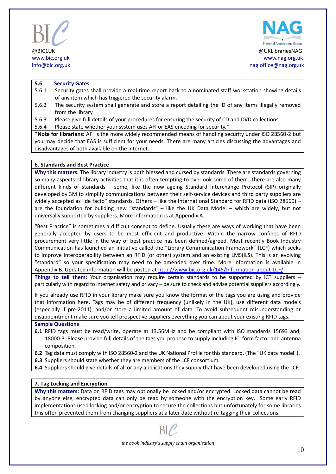



#### **5.6 Security Gates**

- 5.6.1 Security gates shall provide a real-time report back to a nominated staff workstation showing details of any item which has triggered the security alarm.
- 5.6.2 The security system shall generate and store a report detailing the ID of any items illegally removed from the library.
- 5.6.3 Please give full details of your procedures for ensuring the security of CD and DVD collections.

5.6.4 Please state whether your system uses AFI or EAS encoding for security.\*

\***Note for librarians:** AFI is the more widely recommended means of handling security under ISO 28560-2 but you may decide that EAS is sufficient for your needs. There are many articles discussing the advantages and disadvantages of both available on the internet.

#### **6. Standards and Best Practice**

**Why this matters:** The library industry is both blessed and cursed by standards. There are standards governing so many aspects of library activities that it is often tempting to overlook some of them. There are also many different kinds of standards – some, like the now ageing Standard Interchange Protocol (SIP) originally developed by 3M to simplify communications between their self-service devices and third party suppliers are widely accepted as "de facto" standards. Others – like the International Standard for RFID data (ISO 28560) are the foundation for building new "standards" – like the UK Data Model – which are widely, but not universally supported by suppliers. More information is at Appendix A.

"Best Practice" is sometimes a difficult concept to define. Usually these are ways of working that have been generally accepted by users to be most efficient and productive. Within the narrow confines of RFID procurement very little in the way of best practice has been defined/agreed. Most recently Book Industry Communication has launched an initiative called the "Library Communication Framework" (LCF) which seeks to improve interoperability between an RFID (or other) system and an existing LMS(ILS). This is an evolving "standard" so your specification may need to be amended over time. More information is available in Appendix B. Updated information will be posted at<http://www.bic.org.uk/145/Information-about-LCF/>

**Things to tell them:** Your organisation may require certain standards to be supported by ICT suppliers – particularly with regard to internet safety and privacy – be sure to check and advise potential suppliers accordingly.

If you already use RFID in your library make sure you know the format of the tags you are using and provide that information here. Tags may be of different frequency (unlikely in the UK), use different data models (especially if pre-2011), and/or store a limited amount of data. To avoid subsequent misunderstanding or disappointment make sure you tell prospective suppliers everything you can about your existing RFID tags.

#### **Sample Questions**

- **6.1** RFID tags must be read/write, operate at 13.56MHz and be compliant with ISO standards 15693 and, 18000-3. Please provide full details of the tags you propose to supply including IC, form factor and antenna composition.
- **6.2** Tag data must comply with ISO 28560-2 and the UK National Profile for this standard. (The "UK data model").
- **6.3** Suppliers should state whether they are members of the LCF consortium.
- **6.4** Suppliers should give details of all or any applications they supply that have been developed using the LCF.

#### **7. Tag Locking and Encryption**

**Why this matters:** Data on RFID tags may optionally be locked and/or encrypted. Locked data cannot be read by anyone else, encrypted data can only be read by someone with the encryption key. Some early RFID implementations used locking and/or encryption to secure the collections but unfortunately for some libraries this often prevented them from changing suppliers at a later date without re-tagging their collections.

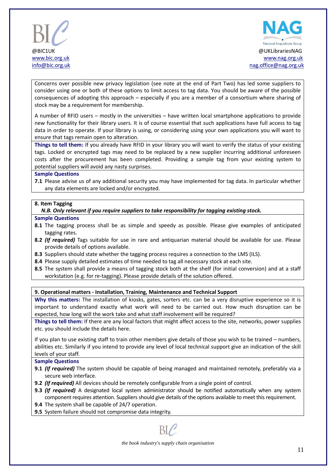



Concerns over possible new privacy legislation (see note at the end of Part Two) has led some suppliers to consider using one or both of these options to limit access to tag data. You should be aware of the possible consequences of adopting this approach – especially if you are a member of a consortium where sharing of stock may be a requirement for membership.

A number of RFID users – mostly in the universities – have written local smartphone applications to provide new functionality for their library users. It is of course essential that such applications have full access to tag data in order to operate. If your library is using, or considering using your own applications you will want to ensure that tags remain open to alteration.

**Things to tell them:** If you already have RFID in your library you will want to verify the status of your existing tags. Locked or encrypted tags may need to be replaced by a new supplier incurring additional unforeseen costs after the procurement has been completed. Providing a sample tag from your existing system to potential suppliers will avoid any nasty surprises.

#### **Sample Questions**

**7.1** Please advise us of any additional security you may have implemented for tag data. In particular whether any data elements are locked and/or encrypted.

#### **8. Item Tagging**

 *N.B. Only relevant if you require suppliers to take responsibility for tagging existing stock.*

#### **Sample Questions**

- **8.1** The tagging process shall be as simple and speedy as possible. Please give examples of anticipated tagging rates.
- **8.2** *(If required)* Tags suitable for use in rare and antiquarian material should be available for use. Please provide details of options available.
- **8.3** Suppliers should state whether the tagging process requires a connection to the LMS (ILS).
- **8.4** Please supply detailed estimates of time needed to tag all necessary stock at each site.
- **8.5** The system shall provide a means of tagging stock both at the shelf (for initial conversion) and at a staff workstation (e.g. for re-tagging). Please provide details of the solution offered.

#### **9. Operational matters - Installation, Training, Maintenance and Technical Support**

**Why this matters:** The installation of kiosks, gates, sorters etc. can be a very disruptive experience so it is important to understand exactly what work will need to be carried out. How much disruption can be expected, how long will the work take and what staff involvement will be required?

**Things to tell them:** If there are any local factors that might affect access to the site, networks, power supplies etc. you should include the details here.

If you plan to use existing staff to train other members give details of those you wish to be trained – numbers, abilities etc. Similarly if you intend to provide any level of local technical support give an indication of the skill levels of your staff.

#### **Sample Questions**

- **9.1** *(If required)* The system should be capable of being managed and maintained remotely, preferably via a secure web interface.
- **9.2** *(If required)* All devices should be remotely configurable from a single point of control.
- **9.3** *(If required)* A designated local system administrator should be notified automatically when any system component requires attention. Suppliers should give details of the options available to meet this requirement.
- **9.4** The system shall be capable of 24/7 operation.
- **9.5** System failure should not compromise data integrity.

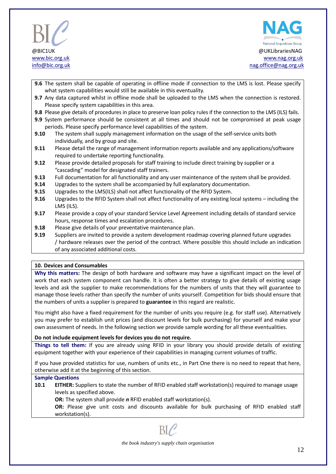



- **9.6** The system shall be capable of operating in offline mode if connection to the LMS is lost. Please specify what system capabilities would still be available in this eventuality.
- **9.7** Any data captured whilst in offline mode shall be uploaded to the LMS when the connection is restored. Please specify system capabilities in this area.
- **9.8** Please give details of procedures in place to preserve loan policy rules if the connection to the LMS (ILS) fails.
- **9.9** System performance should be consistent at all times and should not be compromised at peak usage periods. Please specify performance level capabilities of the system.
- **9.10** The system shall supply management information on the usage of the self-service units both individually, and by group and site.
- **9.11** Please detail the range of management information reports available and any applications/software required to undertake reporting functionality.
- **9.12** Please provide detailed proposals for staff training to include direct training by supplier or a "cascading" model for designated staff trainers.
- **9.13** Full documentation for all functionality and any user maintenance of the system shall be provided.
- **9.14** Upgrades to the system shall be accompanied by full explanatory documentation.
- **9.15** Upgrades to the LMS(ILS) shall not affect functionality of the RFID System.
- **9.16** Upgrades to the RFID System shall not affect functionality of any existing local systems including the LMS (ILS).
- **9.17** Please provide a copy of your standard Service Level Agreement including details of standard service hours, response times and escalation procedures.
- **9.18** Please give details of your preventative maintenance plan.
- **9.19** Suppliers are invited to provide a system development roadmap covering planned future upgrades / hardware releases over the period of the contract. Where possible this should include an indication of any associated additional costs.

#### **10. Devices and Consumables**

**Why this matters:** The design of both hardware and software may have a significant impact on the level of work that each system component can handle. It is often a better strategy to give details of existing usage levels and ask the supplier to make recommendations for the numbers of units that they will guarantee to manage those levels rather than specify the number of units yourself. Competition for bids should ensure that the numbers of units a supplier is prepared to **guarantee** in this regard are realistic.

You might also have a fixed requirement for the number of units you require (e.g. for staff use). Alternatively you may prefer to establish unit prices (and discount levels for bulk purchasing) for yourself and make your own assessment of needs. In the following section we provide sample wording for all these eventualities.

#### **Do not include equipment levels for devices you do not require.**

**Things to tell them:** If you are already using RFID in your library you should provide details of existing equipment together with your experience of their capabilities in managing current volumes of traffic.

If you have provided statistics for use, numbers of units etc., in Part One there is no need to repeat that here, otherwise add it at the beginning of this section.

#### **Sample Questions**

- **10.1 EITHER:** Suppliers to state the number of RFID enabled staff workstation(s) required to manage usage levels as specified above.
	- **OR:** The system shall provide *n* RFID enabled staff workstation(s).

**OR:** Please give unit costs and discounts available for bulk purchasing of RFID enabled staff workstation(s).

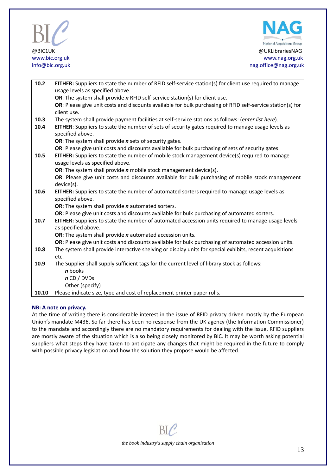



| 10.2  | <b>EITHER:</b> Suppliers to state the number of RFID self-service station(s) for client use required to manage                    |
|-------|-----------------------------------------------------------------------------------------------------------------------------------|
|       | usage levels as specified above.                                                                                                  |
|       | OR: The system shall provide n RFID self-service station(s) for client use.                                                       |
|       | OR: Please give unit costs and discounts available for bulk purchasing of RFID self-service station(s) for<br>client use.         |
| 10.3  | The system shall provide payment facilities at self-service stations as follows: (enter list here).                               |
| 10.4  | EITHER: Suppliers to state the number of sets of security gates required to manage usage levels as                                |
|       | specified above.                                                                                                                  |
|       | OR: The system shall provide <i>n</i> sets of security gates.                                                                     |
|       | OR: Please give unit costs and discounts available for bulk purchasing of sets of security gates.                                 |
| 10.5  | EITHER: Suppliers to state the number of mobile stock management device(s) required to manage<br>usage levels as specified above. |
|       | OR: The system shall provide <i>n</i> mobile stock management device(s).                                                          |
|       | OR: Please give unit costs and discounts available for bulk purchasing of mobile stock management                                 |
|       | device(s).                                                                                                                        |
| 10.6  | EITHER: Suppliers to state the number of automated sorters required to manage usage levels as                                     |
|       | specified above.                                                                                                                  |
|       | OR: The system shall provide <i>n</i> automated sorters.                                                                          |
|       | OR: Please give unit costs and discounts available for bulk purchasing of automated sorters.                                      |
| 10.7  | EITHER: Suppliers to state the number of automated accession units required to manage usage levels                                |
|       | as specified above.                                                                                                               |
|       | OR: The system shall provide <i>n</i> automated accession units.                                                                  |
|       | OR: Please give unit costs and discounts available for bulk purchasing of automated accession units.                              |
| 10.8  | The system shall provide interactive shelving or display units for special exhibits, recent acquisitions                          |
|       | etc.                                                                                                                              |
| 10.9  | The Supplier shall supply sufficient tags for the current level of library stock as follows:                                      |
|       | <i>n</i> books                                                                                                                    |
|       | $n$ CD / DVDs                                                                                                                     |
|       | Other (specify)                                                                                                                   |
| 10.10 | Please indicate size, type and cost of replacement printer paper rolls.                                                           |

#### **NB: A note on privacy.**

At the time of writing there is considerable interest in the issue of RFID privacy driven mostly by the European Union's mandate M436. So far there has been no response from the UK agency (the Information Commissioner) to the mandate and accordingly there are no mandatory requirements for dealing with the issue. RFID suppliers are mostly aware of the situation which is also being closely monitored by BIC. It may be worth asking potential suppliers what steps they have taken to anticipate any changes that might be required in the future to comply with possible privacy legislation and how the solution they propose would be affected.

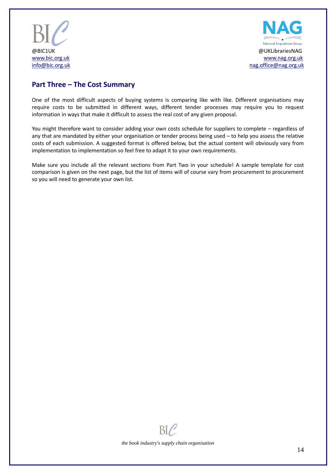



## **Part Three – The Cost Summary**

One of the most difficult aspects of buying systems is comparing like with like. Different organisations may require costs to be submitted in different ways, different tender processes may require you to request information in ways that make it difficult to assess the real cost of any given proposal.

You might therefore want to consider adding your own costs schedule for suppliers to complete – regardless of any that are mandated by either your organisation or tender process being used – to help you assess the relative costs of each submission. A suggested format is offered below, but the actual content will obviously vary from implementation to implementation so feel free to adapt it to your own requirements.

Make sure you include all the relevant sections from Part Two in your schedule! A sample template for cost comparison is given on the next page, but the list of items will of course vary from procurement to procurement so you will need to generate your own list.

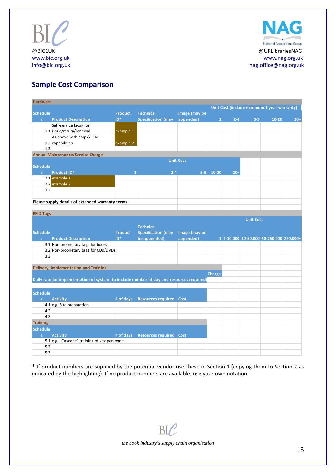



# **Sample Cost Comparison**

| <b>Hardware</b>  |                                                                                           |                |                                |                  |              |         |                  | Unit Cost (include minimum 1 year warranty) |       |  |  |
|------------------|-------------------------------------------------------------------------------------------|----------------|--------------------------------|------------------|--------------|---------|------------------|---------------------------------------------|-------|--|--|
| <b>Schedule</b>  |                                                                                           | <b>Product</b> | <b>Technical</b>               | Image (may be    |              |         |                  |                                             |       |  |  |
| #                | <b>Product Description</b>                                                                | $ID*$          | <b>Specification (may</b>      | appended)        | $\mathbf{1}$ | $2 - 4$ | $5-9$            | $10 - 20$                                   | $20+$ |  |  |
|                  | Self-service kiosk for                                                                    |                |                                |                  |              |         |                  |                                             |       |  |  |
|                  | 1.1 issue/return/renewal                                                                  | example 1      |                                |                  |              |         |                  |                                             |       |  |  |
|                  | As above with chip & PIN                                                                  |                |                                |                  |              |         |                  |                                             |       |  |  |
|                  | 1.2 capabilities                                                                          | example 2      |                                |                  |              |         |                  |                                             |       |  |  |
| 1.3              |                                                                                           |                |                                |                  |              |         |                  |                                             |       |  |  |
|                  | <b>Annual Maintenance/Service Charge</b>                                                  |                |                                |                  |              |         |                  |                                             |       |  |  |
|                  |                                                                                           |                |                                | <b>Unit Cost</b> |              |         |                  |                                             |       |  |  |
| <b>Schedule</b>  |                                                                                           |                |                                |                  |              |         |                  |                                             |       |  |  |
| #                | <b>Product ID*</b>                                                                        | $\mathbf{1}$   | $2 - 4$                        |                  | 5-9 10-20    | $20+$   |                  |                                             |       |  |  |
|                  | 2.1 example 1                                                                             |                |                                |                  |              |         |                  |                                             |       |  |  |
|                  | 2.2 example 2                                                                             |                |                                |                  |              |         |                  |                                             |       |  |  |
| 2.3              |                                                                                           |                |                                |                  |              |         |                  |                                             |       |  |  |
|                  |                                                                                           |                |                                |                  |              |         |                  |                                             |       |  |  |
|                  | Please supply details of extended warranty terms                                          |                |                                |                  |              |         |                  |                                             |       |  |  |
|                  |                                                                                           |                |                                |                  |              |         |                  |                                             |       |  |  |
| <b>RFID Tags</b> |                                                                                           |                |                                |                  |              |         |                  |                                             |       |  |  |
|                  |                                                                                           |                |                                |                  |              |         | <b>Unit Cost</b> |                                             |       |  |  |
|                  |                                                                                           |                | <b>Technical</b>               |                  |              |         |                  |                                             |       |  |  |
|                  |                                                                                           |                |                                |                  |              |         |                  |                                             |       |  |  |
| <b>Schedule</b>  |                                                                                           | <b>Product</b> | <b>Specification (may</b>      | Image (may be    |              |         |                  |                                             |       |  |  |
| #                | <b>Product Description</b>                                                                | $ID*$          | be appended)                   | appended)        |              |         |                  | 1 1-10,000 10-50,000 50-250,000 250,000+    |       |  |  |
|                  | 3.1 Non-proprietary tags for books                                                        |                |                                |                  |              |         |                  |                                             |       |  |  |
|                  | 3.2 Non-proprietary tags for CDs/DVDs                                                     |                |                                |                  |              |         |                  |                                             |       |  |  |
| 3.3              |                                                                                           |                |                                |                  |              |         |                  |                                             |       |  |  |
|                  |                                                                                           |                |                                |                  |              |         |                  |                                             |       |  |  |
|                  | <b>Delivery, Implementation and Training</b>                                              |                |                                |                  |              |         |                  |                                             |       |  |  |
|                  |                                                                                           |                |                                |                  | Charge       |         |                  |                                             |       |  |  |
|                  | Daily rate for implementation of system (to include number of day and resources required) |                |                                |                  |              |         |                  |                                             |       |  |  |
|                  |                                                                                           |                |                                |                  |              |         |                  |                                             |       |  |  |
| <b>Schedule</b>  |                                                                                           |                |                                |                  |              |         |                  |                                             |       |  |  |
| #                | <b>Activity</b>                                                                           | # of days      | <b>Resources required Cost</b> |                  |              |         |                  |                                             |       |  |  |
|                  | 4.1 e.g. Site preparation                                                                 |                |                                |                  |              |         |                  |                                             |       |  |  |
| 4.2              |                                                                                           |                |                                |                  |              |         |                  |                                             |       |  |  |
| 4.3              |                                                                                           |                |                                |                  |              |         |                  |                                             |       |  |  |
| <b>Training</b>  |                                                                                           |                |                                |                  |              |         |                  |                                             |       |  |  |
| <b>Schedule</b>  |                                                                                           |                |                                |                  |              |         |                  |                                             |       |  |  |
| #                | <b>Activity</b>                                                                           | # of days      | <b>Resources required Cost</b> |                  |              |         |                  |                                             |       |  |  |
|                  | 5.1 e.g. "Cascade" training of key personnel                                              |                |                                |                  |              |         |                  |                                             |       |  |  |
| 5.2              |                                                                                           |                |                                |                  |              |         |                  |                                             |       |  |  |

\* If product numbers are supplied by the potential vendor use these in Section 1 (copying them to Section 2 as indicated by the highlighting). If no product numbers are available, use your own notation.

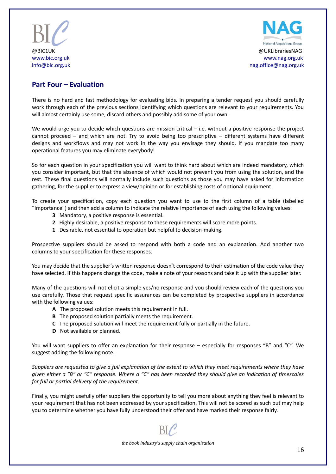



### **Part Four – Evaluation**

There is no hard and fast methodology for evaluating bids. In preparing a tender request you should carefully work through each of the previous sections identifying which questions are relevant to your requirements. You will almost certainly use some, discard others and possibly add some of your own.

We would urge you to decide which questions are mission critical – i.e. without a positive response the project cannot proceed – and which are not. Try to avoid being too prescriptive – different systems have different designs and workflows and may not work in the way you envisage they should. If you mandate too many operational features you may eliminate everybody!

So for each question in your specification you will want to think hard about which are indeed mandatory, which you consider important, but that the absence of which would not prevent you from using the solution, and the rest. These final questions will normally include such questions as those you may have asked for information gathering, for the supplier to express a view/opinion or for establishing costs of optional equipment.

To create your specification, copy each question you want to use to the first column of a table (labelled "Importance") and then add a column to indicate the relative importance of each using the following values:

- **3** Mandatory, a positive response is essential.
- **2** Highly desirable, a positive response to these requirements will score more points.
- **1** Desirable, not essential to operation but helpful to decision-making.

Prospective suppliers should be asked to respond with both a code and an explanation. Add another two columns to your specification for these responses.

You may decide that the supplier's written response doesn't correspond to their estimation of the code value they have selected. If this happens change the code, make a note of your reasons and take it up with the supplier later.

Many of the questions will not elicit a simple yes/no response and you should review each of the questions you use carefully. Those that request specific assurances can be completed by prospective suppliers in accordance with the following values:

- **A** The proposed solution meets this requirement in full.
- **B** The proposed solution partially meets the requirement.
- **C** The proposed solution will meet the requirement fully or partially in the future.
- **D** Not available or planned.

You will want suppliers to offer an explanation for their response – especially for responses "B" and "C". We suggest adding the following note:

*Suppliers are requested to give a full explanation of the extent to which they meet requirements where they have given either a "B" or "C" response. Where a "C" has been recorded they should give an indication of timescales for full or partial delivery of the requirement.*

Finally, you might usefully offer suppliers the opportunity to tell you more about anything they feel is relevant to your requirement that has not been addressed by your specification. This will not be scored as such but may help you to determine whether you have fully understood their offer and have marked their response fairly.



*the book industry's supply chain organisation*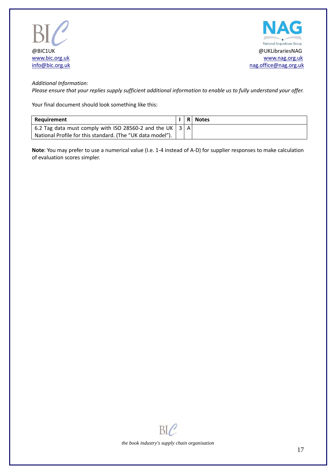



#### *Additional Information:*

*Please ensure that your replies supply sufficient additional information to enable us to fully understand your offer.*

Your final document should look something like this:

| Reauirement                                                  |  | I R Notes |
|--------------------------------------------------------------|--|-----------|
| 6.2 Tag data must comply with ISO 28560-2 and the UK   3   A |  |           |
| National Profile for this standard. (The "UK data model").   |  |           |

**Note**: You may prefer to use a numerical value (I.e. 1-4 instead of A-D) for supplier responses to make calculation of evaluation scores simpler.

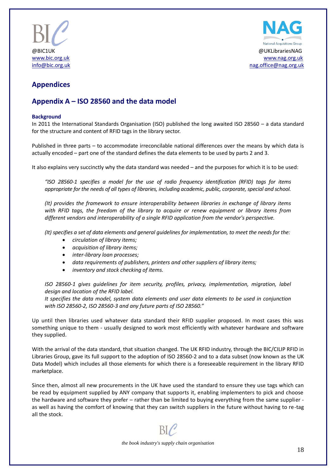



# **Appendices**

## **Appendix A – ISO 28560 and the data model**

#### **Background**

In 2011 the International Standards Organisation (ISO) published the long awaited ISO 28560 – a data standard for the structure and content of RFID tags in the library sector.

Published in three parts – to accommodate irreconcilable national differences over the means by which data is actually encoded – part one of the standard defines the data elements to be used by parts 2 and 3.

It also explains very succinctly why the data standard was needed – and the purposes for which it is to be used:

*"ISO 28560-1 specifies a model for the use of radio frequency identification (RFID) tags for items appropriate for the needs of all types of libraries, including academic, public, corporate, special and school.*

*(It) provides the framework to ensure interoperability between libraries in exchange of library items with RFID tags, the freedom of the library to acquire or renew equipment or library items from different vendors and interoperability of a single RFID application from the vendor's perspective.*

*(It) specifies a set of data elements and general guidelines for implementation, to meet the needs for the:*

- *circulation of library items;*
- *acquisition of library items;*
- *inter-library loan processes;*
- *data requirements of publishers, printers and other suppliers of library items;*
- *inventory and stock checking of items.*

*ISO 28560-1 gives guidelines for item security, profiles, privacy, implementation, migration, label design and location of the RFID label.*

*It specifies the data model, system data elements and user data elements to be used in conjunction with ISO 28560-2, ISO 28560-3 and any future parts of ISO 28560."*

Up until then libraries used whatever data standard their RFID supplier proposed. In most cases this was something unique to them - usually designed to work most efficiently with whatever hardware and software they supplied.

With the arrival of the data standard, that situation changed. The UK RFID industry, through the BIC/CILIP RFID in Libraries Group, gave its full support to the adoption of ISO 28560-2 and to a data subset (now known as the UK Data Model) which includes all those elements for which there is a foreseeable requirement in the library RFID marketplace.

Since then, almost all new procurements in the UK have used the standard to ensure they use tags which can be read by equipment supplied by ANY company that supports it, enabling implementers to pick and choose the hardware and software they prefer – rather than be limited to buying everything from the same supplier as well as having the comfort of knowing that they can switch suppliers in the future without having to re-tag all the stock.

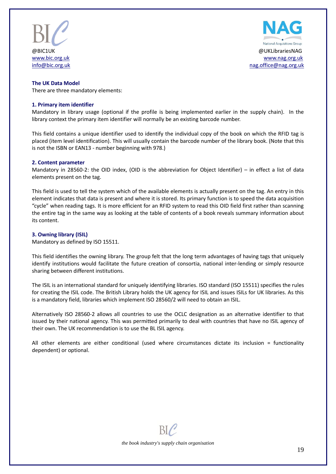



#### **The UK Data Model**

There are three mandatory elements:

#### **1. Primary item identifier**

Mandatory in library usage (optional if the profile is being implemented earlier in the supply chain). In the library context the primary item identifier will normally be an existing barcode number.

This field contains a unique identifier used to identify the individual copy of the book on which the RFID tag is placed (item level identification). This will usually contain the barcode number of the library book. (Note that this is not the ISBN or EAN13 - number beginning with 978.)

#### **2. Content parameter**

Mandatory in 28560-2: the OID index, (OID is the abbreviation for Object Identifier) – in effect a list of data elements present on the tag.

This field is used to tell the system which of the available elements is actually present on the tag. An entry in this element indicates that data is present and where it is stored. Its primary function is to speed the data acquisition "cycle" when reading tags. It is more efficient for an RFID system to read this OID field first rather than scanning the entire tag in the same way as looking at the table of contents of a book reveals summary information about its content.

#### **3. Owning library (ISIL)**

Mandatory as defined by ISO 15511.

This field identifies the owning library. The group felt that the long term advantages of having tags that uniquely identify institutions would facilitate the future creation of consortia, national inter-lending or simply resource sharing between different institutions.

The ISIL is an international standard for uniquely identifying libraries. ISO standard (ISO 15511) specifies the rules for creating the ISIL code. The British Library holds the UK agency for ISIL and issues ISILs for UK libraries. As this is a mandatory field, libraries which implement ISO 28560/2 will need to obtain an ISIL.

Alternatively ISO 28560-2 allows all countries to use the OCLC designation as an alternative identifier to that issued by their national agency. This was permitted primarily to deal with countries that have no ISIL agency of their own. The UK recommendation is to use the BL ISIL agency.

All other elements are either conditional (used where circumstances dictate its inclusion = functionality dependent) or optional.